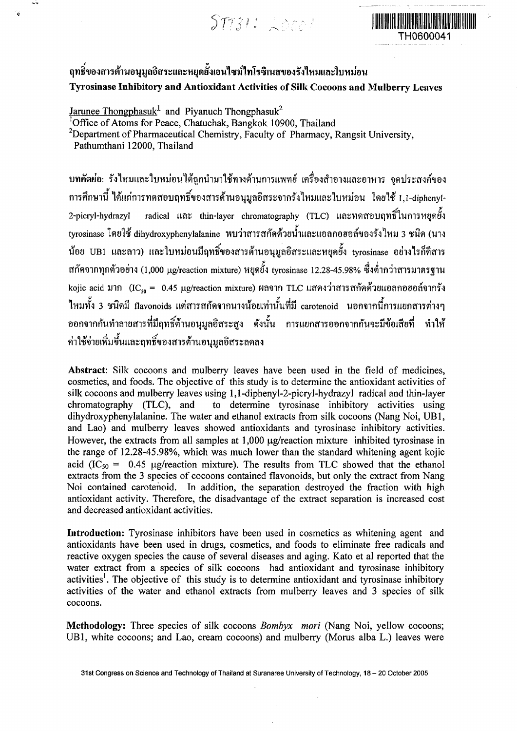$5 \pi s$  $\mu$ :  $\lambda$ pool



## ฤ ท ธิ๋ข อ งสารต ้าน อ น ุยูลอ ิสระแ ละห ยุด ยั้งเอน ไซ ม ์ไท โรซ ิฌ สข องรังไห ม แ ละใบ ห ม ่อน **Tyrosinase Inhibitory and Antioxidant Activities of Silk Cocoons and Mulberry Leaves**

Jarunee Thongphasuk<sup>1</sup> and Piyanuch Thongphasuk<sup>2</sup>

**'office of Atoms for Peace, Chatuchak, Bangkok 10900, Thailand**

<sup>2</sup> Department of Pharmaceutical Chemistry, Faculty of Pharmacy, Rangsit University,

**Pathumthani 12000, Thailand**

Ĩę.

บทคัดย่อ: รังไหมและใบหม่อนได้ถูกนำมาใช้ทางด้านการแพทย์ เครื่องสำอางและอาหาร จุดประสงค์ของ การศึกษานี้ ได้แก่การทดสอบฤทธิ์ของสารต้านอนุมูลอิสระจากรังไหมและใบหม่อน โดยใช้ 1,1-diphenyI-2-picryl-hydrazyl radical และ thin-layer chromatography (TLC) และทดสอบฤทธิ์ในการหยุดยั้ง tyrosinase โด ยใช ้ dihydroxyphenylalanine พ บ ว่าสารสก ัด ด ้วยน ํ้าแ ละแ อลก อ ฮ อล์ข อ งรังไห ม 3 ชนิด (นาง น้อย UB1 และลาว) และใบหม่อนมีฤทธิ์ของสารต้านอนุมูลอิสระและหยุดยั้ง tyrosinase อย่างไรก็ดีสาร สกัดจากทุกตัวอย่าง (1,000 µg/reaction mixture) หยุดยั้ง tyrosinase 12.28-45.98% ซึ่งต่ำกว่าสารมาตรฐาน kojic acid มาก  $(IC_{50} = 0.45 \mu g$ /reaction mixture) ผลจาก TLC แสดงว่าสารสกัดด้วยแอลกอฮอล์จากรัง ี ไหมทั้ง 3 ชนิดมี flavonoids แต่สารสกัดจากนางน้อยเท่านั้นที่มี carotenoid นอกจากนี้การแยกสารต่างๆ ้ ออกจากกันทำลายสารที่มีถทธิ์ต้านอนมลอิสระสง ดังนั้น การแยกสารออกจากกันจะมีข้อเสียที่ ทำให้ ้ ค่าใช้จ่ายเพิ่มขึ้นและถุทธิ์ของสารต้านอนมลอิสระลดลง

**Abstract: Silk cocoons and mulberry leaves have been used in the field of medicines, cosmetics, and foods. The objective of this study is to determine the antioxidant activities of silk cocoons and mulberry leaves using l,l-diphenyl-2-picryI-hydrazyl radical and thin-layer chromatography (TLC), and to determine tyrosinase inhibitory activities using dihydroxyphenylalanine. The water and ethanol extracts from silk cocoons (Nang Noi, UB1, and Lao) and mulberry leaves showed antioxidants and tyrosinase inhibitory activities.** However, the extracts from all samples at 1,000  $\mu$ g/reaction mixture inhibited tyrosinase in **the range of 12.28-45.98%, which was much lower than the standard whitening agent kojic** acid ( $IC_{50}$  = 0.45  $\mu$ g/reaction mixture). The results from TLC showed that the ethanol **extracts from the 3 species of cocoons contained flavonoids, but only the extract from Nang Noi contained carotenoid. In addition, the separation destroyed the fraction with high antioxidant activity. Therefore, the disadvantage of the extract separation is increased cost and decreased antioxidant activities.**

**Introduction: Tyrosinase inhibitors have been used in cosmetics as whitening agent and antioxidants have been used in drugs, cosmetics, and foods to eliminate free radicals and reactive oxygen species the cause of several diseases and aging. Kato et al reported that the water extract from a species of silk cocoons had antioxidant and tyrosinase inhibitory** activities<sup>1</sup>. The objective of this study is to determine antioxidant and tyrosinase inhibitory **activities of the water and ethanol extracts from mulberry leaves and 3 species of silk cocoons.**

**Methodology: Three species of silk cocoons** *Bombyx mori* **(Nang Noi, yellow cocoons; UB1, white cocoons; and Lao, cream cocoons) and mulberry (Morus alba L.) leaves were**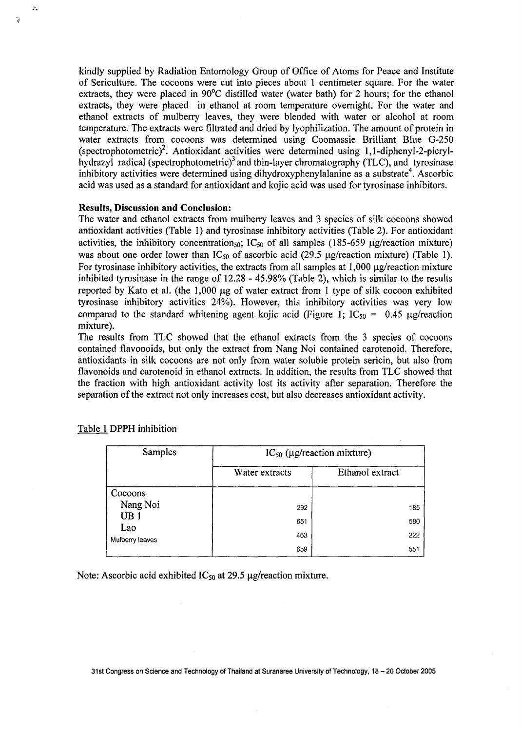**kindly supplied by Radiation Entomology Group of Office of Atoms for Peace and Institute of Sericulture. The cocoons were cut into pieces about 1 centimeter square. For the water extracts, they were placed in 90°c distilled water (water bath) for 2 hours; for the ethanol extracts, they were placed in ethanol at room temperature overnight. For the water and ethanol extracts of mulberry leaves, they were blended with water or alcohol at room temperature. The extracts were filtrated and dried by lyophilization. The amount of protein in water extracts from cocoons was determined using Coomassie Brilliant Blue G-250 (spectrophotometric)2. Antioxidant activities were determined using 1,1-diphenyl-2-picrylhydrazyl radical (spectrophotometric**)3 **and thin-layer chromatography (TLC), and tyrosinase** inhibitory activities were determined using dihydroxyphenylalanine as a substrate<sup>4</sup>. Ascorbic **acid was used as a standard for antioxidant and kojic acid was used for tyrosinase inhibitors.**

## **Results, Discussion and Conclusion:**

à.

ĭ

**The water and ethanol extracts from mulberry leaves and 3 species of silk cocoons showed antioxidant activities (Table 1) and tyrosinase inhibitory activities (Table 2). For antioxidant** activities, the inhibitory concentration<sub>50</sub>; IC<sub>50</sub> of all samples (185-659  $\mu$ g/reaction mixture) was about one order lower than  $IC_{50}$  of ascorbic acid (29.5  $\mu$ g/reaction mixture) (Table 1). For tyrosinase inhibitory activities, the extracts from all samples at  $1,000 \mu$ g/reaction mixture **inhibited tyrosinase in the range of 12.28 - 45.98% (Table 2), which is similar to the results** reported by Kato et al. (the 1,000 µg of water extract from 1 type of silk cocoon exhibited **tyrosinase inhibitory activities 24%). However, this inhibitory activities was very low** compared to the standard whitening agent kojic acid (Figure 1;  $IC_{50} = 0.45 \text{ µg/reaction}$ ) **mixture).**

**The results from TLC showed that the ethanol extracts from the 3 species of cocoons contained flavonoids, but only the extract from Nang Noi contained carotenoid. Therefore, antioxidants in silk cocoons are not only from water soluble protein sericin, but also from flavonoids and carotenoid in ethanol extracts. In addition, the results from TLC showed that the fraction with high antioxidant activity lost its activity after separation. Therefore the separation of the extract not only increases cost, but also decreases antioxidant activity.**

Samples **IC**<sub>50</sub> (µg/reaction mixture) **Water extracts Ethanol extract Cocoons Nang Noi 292** 185 **UB 1** 651 **OoU Lao Mulberry leaves 463 222 659** 551

**Table 1 DPPH inhibition**

Note: Ascorbic acid exhibited IC<sub>50</sub> at 29.5 µg/reaction mixture.